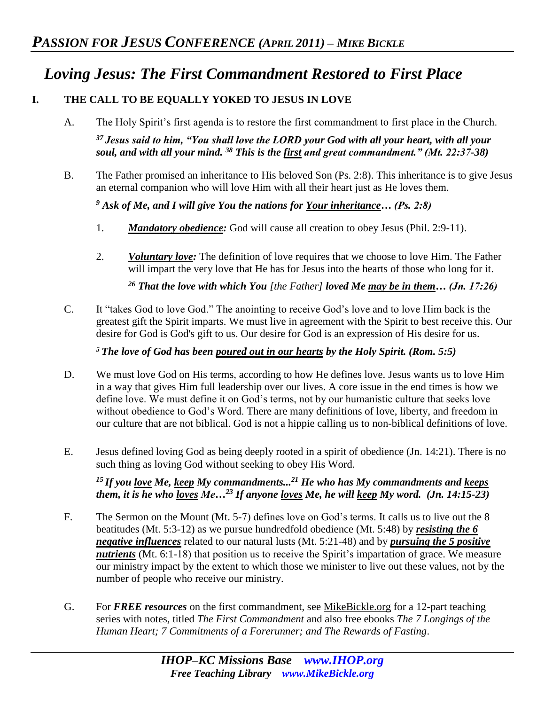# *Loving Jesus: The First Commandment Restored to First Place*

## **I. THE CALL TO BE EQUALLY YOKED TO JESUS IN LOVE**

- A. The Holy Spirit's first agenda is to restore the first commandment to first place in the Church. *<sup>37</sup>Jesus said to him, "You shall love the LORD your God with all your heart, with all your soul, and with all your mind. <sup>38</sup> This is the first and great commandment." (Mt. 22:37-38)*
- B. The Father promised an inheritance to His beloved Son (Ps. 2:8). This inheritance is to give Jesus an eternal companion who will love Him with all their heart just as He loves them.

*<sup>9</sup> Ask of Me, and I will give You the nations for Your inheritance… (Ps. 2:8)* 

- 1. *Mandatory obedience:* God will cause all creation to obey Jesus (Phil. 2:9-11).
- 2. *Voluntary love:* The definition of love requires that we choose to love Him. The Father will impart the very love that He has for Jesus into the hearts of those who long for it.

*<sup>26</sup> That the love with which You [the Father] loved Me may be in them… (Jn. 17:26)* 

C. It "takes God to love God." The anointing to receive God's love and to love Him back is the greatest gift the Spirit imparts. We must live in agreement with the Spirit to best receive this. Our desire for God is God's gift to us. Our desire for God is an expression of His desire for us.

*<sup>5</sup>The love of God has been poured out in our hearts by the Holy Spirit. (Rom. 5:5)*

- D. We must love God on His terms, according to how He defines love. Jesus wants us to love Him in a way that gives Him full leadership over our lives. A core issue in the end times is how we define love. We must define it on God's terms, not by our humanistic culture that seeks love without obedience to God's Word. There are many definitions of love, liberty, and freedom in our culture that are not biblical. God is not a hippie calling us to non-biblical definitions of love.
- E. Jesus defined loving God as being deeply rooted in a spirit of obedience (Jn. 14:21). There is no such thing as loving God without seeking to obey His Word.

*<sup>15</sup>If you love Me, keep My commandments...<sup>21</sup> He who has My commandments and keeps them, it is he who loves Me…<sup>23</sup> If anyone loves Me, he will keep My word. (Jn. 14:15-23)* 

- F. The Sermon on the Mount (Mt. 5-7) defines love on God's terms. It calls us to live out the 8 beatitudes (Mt. 5:3-12) as we pursue hundredfold obedience (Mt. 5:48) by *resisting the 6 negative influences* related to our natural lusts (Mt. 5:21-48) and by *pursuing the 5 positive nutrients* (Mt. 6:1-18) that position us to receive the Spirit's impartation of grace. We measure our ministry impact by the extent to which those we minister to live out these values, not by the number of people who receive our ministry.
- G. For *FREE resources* on the first commandment, see MikeBickle.org for a 12-part teaching series with notes, titled *The First Commandment* and also free ebooks *The 7 Longings of the Human Heart; 7 Commitments of a Forerunner; and The Rewards of Fasting*.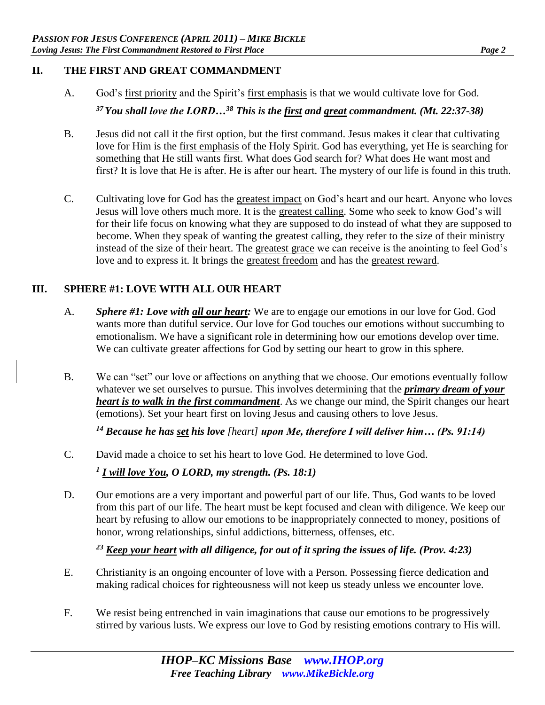## **II. THE FIRST AND GREAT COMMANDMENT**

- A. God's first priority and the Spirit's first emphasis is that we would cultivate love for God. *<sup>37</sup>You shall love the LORD…<sup>38</sup> This is the first and great commandment. (Mt. 22:37-38)*
- B. Jesus did not call it the first option, but the first command. Jesus makes it clear that cultivating love for Him is the first emphasis of the Holy Spirit. God has everything, yet He is searching for something that He still wants first. What does God search for? What does He want most and first? It is love that He is after. He is after our heart. The mystery of our life is found in this truth.
- C. Cultivating love for God has the greatest impact on God's heart and our heart. Anyone who loves Jesus will love others much more. It is the greatest calling. Some who seek to know God's will for their life focus on knowing what they are supposed to do instead of what they are supposed to become. When they speak of wanting the greatest calling, they refer to the size of their ministry instead of the size of their heart. The greatest grace we can receive is the anointing to feel God's love and to express it. It brings the greatest freedom and has the greatest reward.

# **III. SPHERE #1: LOVE WITH ALL OUR HEART**

- A. *Sphere #1: Love with all our heart:* We are to engage our emotions in our love for God. God wants more than dutiful service. Our love for God touches our emotions without succumbing to emotionalism. We have a significant role in determining how our emotions develop over time. We can cultivate greater affections for God by setting our heart to grow in this sphere.
- B. We can "set" our love or affections on anything that we choose. Our emotions eventually follow whatever we set ourselves to pursue. This involves determining that the *primary dream of your heart is to walk in the first commandment*. As we change our mind, the Spirit changes our heart (emotions). Set your heart first on loving Jesus and causing others to love Jesus.

*<sup>14</sup> Because he has set his love [heart] upon Me, therefore I will deliver him… (Ps. 91:14)* 

C. David made a choice to set his heart to love God. He determined to love God.

*1 I will love You, O LORD, my strength. (Ps. 18:1)* 

D. Our emotions are a very important and powerful part of our life. Thus, God wants to be loved from this part of our life. The heart must be kept focused and clean with diligence. We keep our heart by refusing to allow our emotions to be inappropriately connected to money, positions of honor, wrong relationships, sinful addictions, bitterness, offenses, etc.

*<sup>23</sup> Keep your heart with all diligence, for out of it spring the issues of life. (Prov. 4:23)* 

- E. Christianity is an ongoing encounter of love with a Person. Possessing fierce dedication and making radical choices for righteousness will not keep us steady unless we encounter love.
- F. We resist being entrenched in vain imaginations that cause our emotions to be progressively stirred by various lusts. We express our love to God by resisting emotions contrary to His will.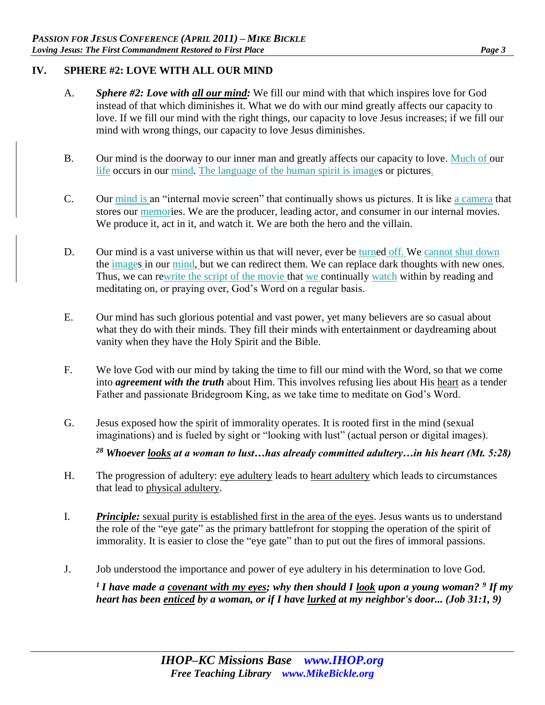### **IV. SPHERE #2: LOVE WITH ALL OUR MIND**

- A. *Sphere #2: Love with all our mind:* We fill our mind with that which inspires love for God instead of that which diminishes it. What we do with our mind greatly affects our capacity to love. If we fill our mind with the right things, our capacity to love Jesus increases; if we fill our mind with wrong things, our capacity to love Jesus diminishes.
- B. Our mind is the doorway to our inner man and greatly affects our capacity to love. Much of our life occurs in our mind. The language of the human spirit is images or pictures.
- C. Our mind is an "internal movie screen" that continually shows us pictures. It is like a camera that stores our memories. We are the producer, leading actor, and consumer in our internal movies. We produce it, act in it, and watch it. We are both the hero and the villain.
- D. Our mind is a vast universe within us that will never, ever be turned off. We cannot shut down the images in our mind, but we can redirect them. We can replace dark thoughts with new ones. Thus, we can rewrite the script of the movie that we continually watch within by reading and meditating on, or praying over, God's Word on a regular basis.
- E. Our mind has such glorious potential and vast power, yet many believers are so casual about what they do with their minds. They fill their minds with entertainment or daydreaming about vanity when they have the Holy Spirit and the Bible.
- F. We love God with our mind by taking the time to fill our mind with the Word, so that we come into *agreement with the truth* about Him. This involves refusing lies about His heart as a tender Father and passionate Bridegroom King, as we take time to meditate on God's Word.
- G. Jesus exposed how the spirit of immorality operates. It is rooted first in the mind (sexual imaginations) and is fueled by sight or "looking with lust" (actual person or digital images).

*<sup>28</sup> Whoever looks at a woman to lust…has already committed adultery…in his heart (Mt. 5:28)* 

- H. The progression of adultery: eye adultery leads to heart adultery which leads to circumstances that lead to physical adultery.
- I. *Principle:* sexual purity is established first in the area of the eyes. Jesus wants us to understand the role of the "eye gate" as the primary battlefront for stopping the operation of the spirit of immorality. It is easier to close the "eye gate" than to put out the fires of immoral passions.
- J. Job understood the importance and power of eye adultery in his determination to love God.

*<sup>1</sup>I have made a covenant with my eyes; why then should I look upon a young woman? <sup>9</sup> If my heart has been enticed by a woman, or if I have lurked at my neighbor's door... (Job 31:1, 9)*